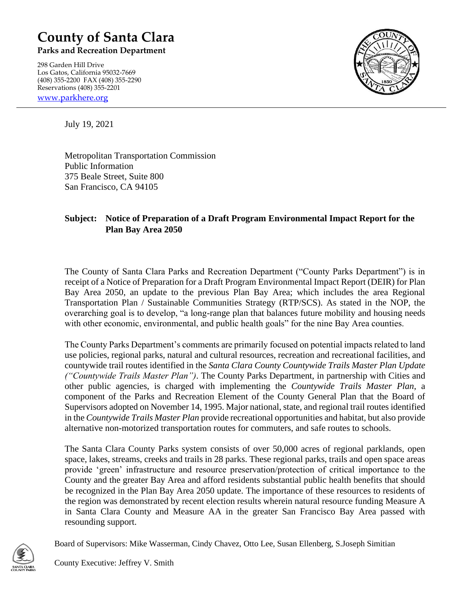## **County of Santa Clara**

**Parks and Recreation Department**

298 Garden Hill Drive Los Gatos, California 95032-7669 (408) 355-2200 FAX (408) 355-2290 Reservations (408) 355-2201

[www.parkhere.org](http://www.parkhere.org/)



July 19, 2021

Metropolitan Transportation Commission Public Information 375 Beale Street, Suite 800 San Francisco, CA 94105

## **Subject: Notice of Preparation of a Draft Program Environmental Impact Report for the Plan Bay Area 2050**

The County of Santa Clara Parks and Recreation Department ("County Parks Department") is in receipt of a Notice of Preparation for a Draft Program Environmental Impact Report (DEIR) for Plan Bay Area 2050, an update to the previous Plan Bay Area; which includes the area Regional Transportation Plan / Sustainable Communities Strategy (RTP/SCS). As stated in the NOP, the overarching goal is to develop, "a long-range plan that balances future mobility and housing needs with other economic, environmental, and public health goals" for the nine Bay Area counties.

The County Parks Department's comments are primarily focused on potential impacts related to land use policies, regional parks, natural and cultural resources, recreation and recreational facilities, and countywide trail routes identified in the *Santa Clara County Countywide Trails Master Plan Update ("Countywide Trails Master Plan")*. The County Parks Department, in partnership with Cities and other public agencies, is charged with implementing the *Countywide Trails Master Plan*, a component of the Parks and Recreation Element of the County General Plan that the Board of Supervisors adopted on November 14, 1995. Major national, state, and regional trail routes identified in the *Countywide Trails Master Plan* provide recreational opportunities and habitat, but also provide alternative non-motorized transportation routes for commuters, and safe routes to schools.

The Santa Clara County Parks system consists of over 50,000 acres of regional parklands, open space, lakes, streams, creeks and trails in 28 parks. These regional parks, trails and open space areas provide 'green' infrastructure and resource preservation/protection of critical importance to the County and the greater Bay Area and afford residents substantial public health benefits that should be recognized in the Plan Bay Area 2050 update. The importance of these resources to residents of the region was demonstrated by recent election results wherein natural resource funding Measure A in Santa Clara County and Measure AA in the greater San Francisco Bay Area passed with resounding support.



Board of Supervisors: Mike Wasserman, Cindy Chavez, Otto Lee, Susan Ellenberg, S.Joseph Simitian